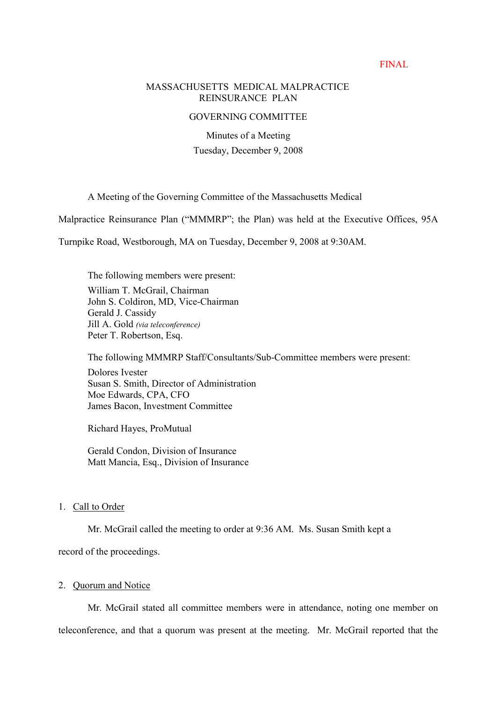### FINAL

### MASSACHUSETTS MEDICAL MALPRACTICE REINSURANCE PLAN

## GOVERNING COMMITTEE

Minutes of a Meeting Tuesday, December 9, 2008

A Meeting of the Governing Committee of the Massachusetts Medical

Malpractice Reinsurance Plan ("MMMRP"; the Plan) was held at the Executive Offices, 95A

Turnpike Road, Westborough, MA on Tuesday, December 9, 2008 at 9:30AM.

The following members were present: William T. McGrail, Chairman John S. Coldiron, MD, Vice-Chairman Gerald J. Cassidy Jill A. Gold (via teleconference) Peter T. Robertson, Esq.

The following MMMRP Staff/Consultants/Sub-Committee members were present:

Dolores Ivester Susan S. Smith, Director of Administration Moe Edwards, CPA, CFO James Bacon, Investment Committee

Richard Hayes, ProMutual

Gerald Condon, Division of Insurance Matt Mancia, Esq., Division of Insurance

## 1. Call to Order

Mr. McGrail called the meeting to order at 9:36 AM. Ms. Susan Smith kept a

record of the proceedings.

### 2. Quorum and Notice

Mr. McGrail stated all committee members were in attendance, noting one member on teleconference, and that a quorum was present at the meeting. Mr. McGrail reported that the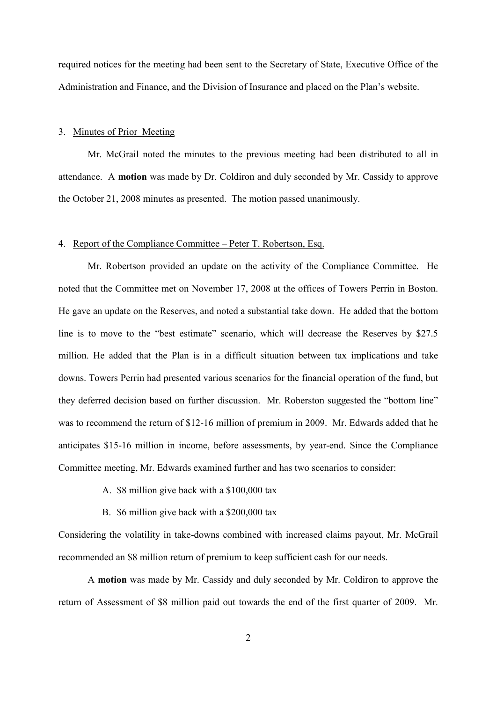required notices for the meeting had been sent to the Secretary of State, Executive Office of the Administration and Finance, and the Division of Insurance and placed on the Plan's website.

### 3. Minutes of Prior Meeting

Mr. McGrail noted the minutes to the previous meeting had been distributed to all in attendance. A **motion** was made by Dr. Coldiron and duly seconded by Mr. Cassidy to approve the October 21, 2008 minutes as presented. The motion passed unanimously.

#### 4. Report of the Compliance Committee – Peter T. Robertson, Esq.

Mr. Robertson provided an update on the activity of the Compliance Committee. He noted that the Committee met on November 17, 2008 at the offices of Towers Perrin in Boston. He gave an update on the Reserves, and noted a substantial take down. He added that the bottom line is to move to the "best estimate" scenario, which will decrease the Reserves by  $$27.5$ million. He added that the Plan is in a difficult situation between tax implications and take downs. Towers Perrin had presented various scenarios for the financial operation of the fund, but they deferred decision based on further discussion. Mr. Roberston suggested the "bottom line" was to recommend the return of \$12-16 million of premium in 2009. Mr. Edwards added that he anticipates \$15-16 million in income, before assessments, by year-end. Since the Compliance Committee meeting, Mr. Edwards examined further and has two scenarios to consider:

- A. \$8 million give back with a \$100,000 tax
- B. \$6 million give back with a \$200,000 tax

Considering the volatility in take-downs combined with increased claims payout, Mr. McGrail recommended an \$8 million return of premium to keep sufficient cash for our needs.

A **motion** was made by Mr. Cassidy and duly seconded by Mr. Coldiron to approve the return of Assessment of \$8 million paid out towards the end of the first quarter of 2009. Mr.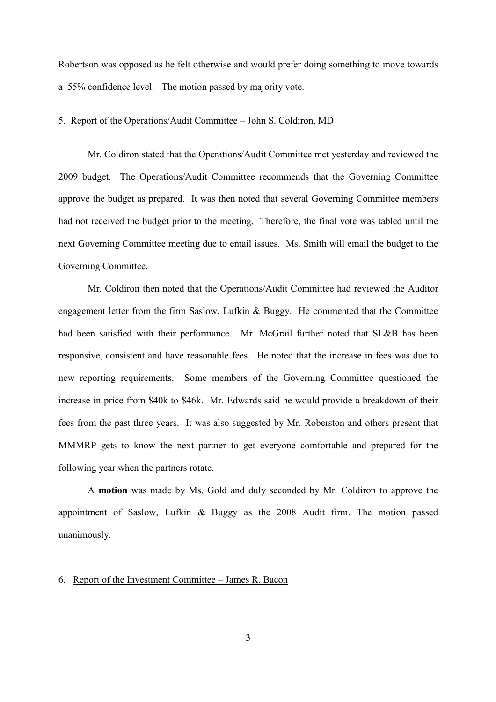Robertson was opposed as he felt otherwise and would prefer doing something to move towards a 55% confidence level. The motion passed by majority vote.

## 5. Report of the Operations/Audit Committee - John S. Coldiron. MD

Mr. Coldiron stated that the Operations/Audit Committee met yesterday and reviewed the 2009 budget. The Operations/Audit Committee recommends that the Governing Committee approve the budget as prepared. It was then noted that several Governing Committee members had not received the budget prior to the meeting. Therefore, the final vote was tabled until the next Governing Committee meeting due to email issues. Ms. Smith will email the budget to the Governing Committee.

Mr. Coldiron then noted that the Operations/Audit Committee had reviewed the Auditor engagement letter from the firm Saslow, Lufkin & Buggy. He commented that the Committee had been satisfied with their performance. Mr. McGrail further noted that SL&B has been responsive, consistent and have reasonable fees. He noted that the increase in fees was due to new reporting requirements. Some members of the Governing Committee questioned the increase in price from \$40k to \$46k. Mr. Edwards said he would provide a breakdown of their fees from the past three years. It was also suggested by Mr. Roberston and others present that MMMRP gets to know the next partner to get everyone comfortable and prepared for the following year when the partners rotate.

A **motion** was made by Ms. Gold and duly seconded by Mr. Coldiron to approve the appointment of Saslow, Lufkin & Buggy as the 2008 Audit firm. The motion passed unanimously.

# 6. Report of the Investment Committee  $-$  James R. Bacon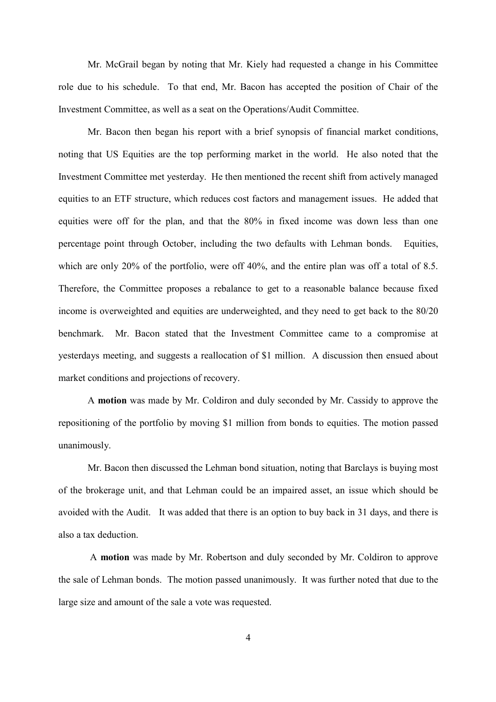Mr. McGrail began by noting that Mr. Kiely had requested a change in his Committee role due to his schedule. To that end, Mr. Bacon has accepted the position of Chair of the Investment Committee, as well as a seat on the Operations/Audit Committee.

Mr. Bacon then began his report with a brief synopsis of financial market conditions, noting that US Equities are the top performing market in the world. He also noted that the Investment Committee met yesterday. He then mentioned the recent shift from actively managed equities to an ETF structure, which reduces cost factors and management issues. He added that equities were off for the plan, and that the 80% in fixed income was down less than one percentage point through October, including the two defaults with Lehman bonds. Equities, which are only 20% of the portfolio, were off 40%, and the entire plan was off a total of 8.5. Therefore, the Committee proposes a rebalance to get to a reasonable balance because fixed income is overweighted and equities are underweighted, and they need to get back to the 80/20 benchmark. Mr. Bacon stated that the Investment Committee came to a compromise at yesterdays meeting, and suggests a reallocation of \$1 million. A discussion then ensued about market conditions and projections of recovery.

A **motion** was made by Mr. Coldiron and duly seconded by Mr. Cassidy to approve the repositioning of the portfolio by moving \$1 million from bonds to equities. The motion passed unanimously.

Mr. Bacon then discussed the Lehman bond situation, noting that Barclays is buying most of the brokerage unit, and that Lehman could be an impaired asset, an issue which should be avoided with the Audit. It was added that there is an option to buy back in 31 days, and there is also a tax deduction.

A **motion** was made by Mr. Robertson and duly seconded by Mr. Coldiron to approve the sale of Lehman bonds. The motion passed unanimously. It was further noted that due to the large size and amount of the sale a vote was requested.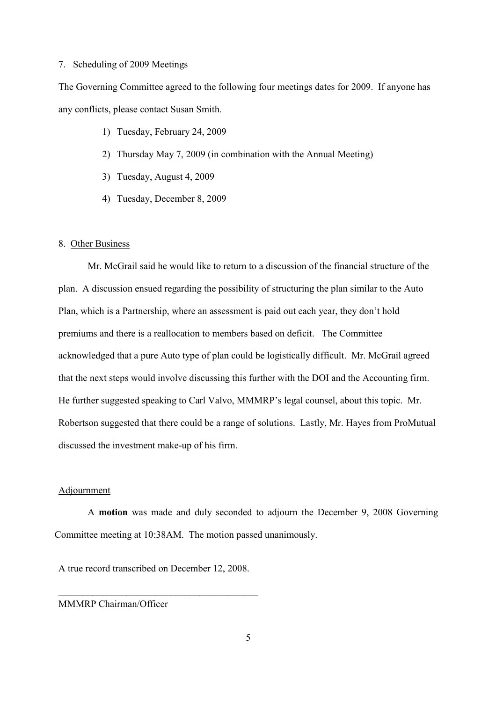### 7. Scheduling of 2009 Meetings

The Governing Committee agreed to the following four meetings dates for 2009. If anyone has any conflicts, please contact Susan Smith.

- 1) Tuesday, February 24, 2009
- 2) Thursday May 7, 2009 (in combination with the Annual Meeting)
- 3) Tuesday, August 4, 2009
- 4) Tuesday, December 8, 2009

#### 8. Other Business

Mr. McGrail said he would like to return to a discussion of the financial structure of the plan. A discussion ensued regarding the possibility of structuring the plan similar to the Auto Plan, which is a Partnership, where an assessment is paid out each year, they don't hold premiums and there is a reallocation to members based on deficit. The Committee acknowledged that a pure Auto type of plan could be logistically difficult. Mr. McGrail agreed that the next steps would involve discussing this further with the DOI and the Accounting firm. He further suggested speaking to Carl Valvo, MMMRP's legal counsel, about this topic. Mr. Robertson suggested that there could be a range of solutions. Lastly, Mr. Hayes from ProMutual discussed the investment make-up of his firm.

### Adjournment

A **motion** was made and duly seconded to adjourn the December 9, 2008 Governing Committee meeting at 10:38AM. The motion passed unanimously.

A true record transcribed on December 12, 2008.

 $\mathcal{L}_\text{max}$ 

MMMRP Chairman/Officer